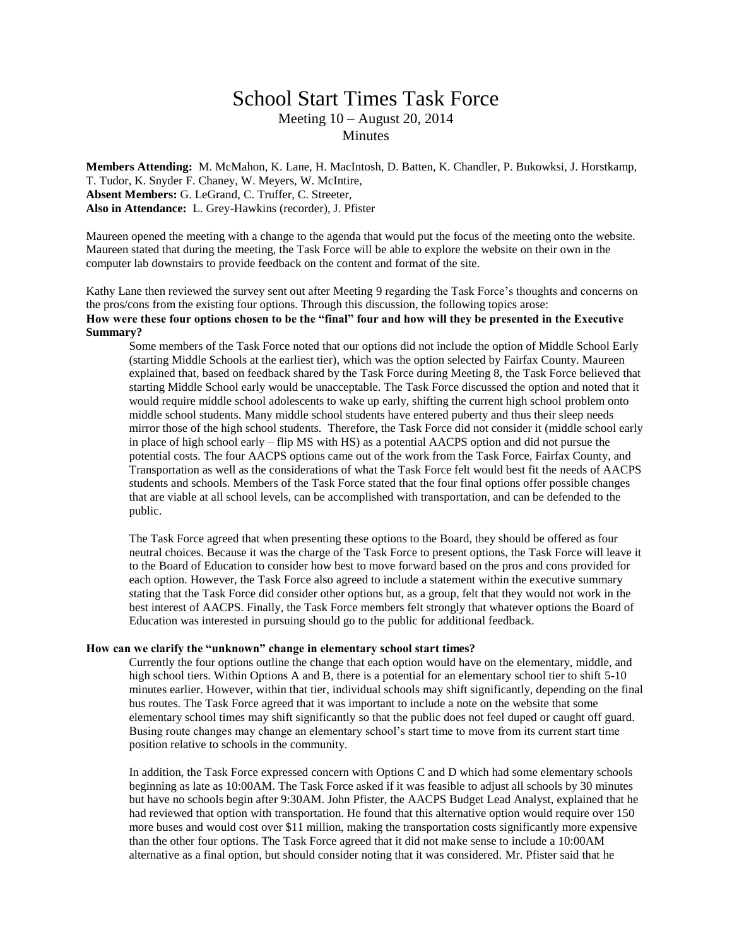## School Start Times Task Force Meeting 10 – August 20, 2014 **Minutes**

**Members Attending:** M. McMahon, K. Lane, H. MacIntosh, D. Batten, K. Chandler, P. Bukowksi, J. Horstkamp, T. Tudor, K. Snyder F. Chaney, W. Meyers, W. McIntire, **Absent Members:** G. LeGrand, C. Truffer, C. Streeter, **Also in Attendance:** L. Grey-Hawkins (recorder), J. Pfister

Maureen opened the meeting with a change to the agenda that would put the focus of the meeting onto the website. Maureen stated that during the meeting, the Task Force will be able to explore the website on their own in the computer lab downstairs to provide feedback on the content and format of the site.

Kathy Lane then reviewed the survey sent out after Meeting 9 regarding the Task Force's thoughts and concerns on the pros/cons from the existing four options. Through this discussion, the following topics arose: **How were these four options chosen to be the "final" four and how will they be presented in the Executive Summary?**

Some members of the Task Force noted that our options did not include the option of Middle School Early (starting Middle Schools at the earliest tier), which was the option selected by Fairfax County. Maureen explained that, based on feedback shared by the Task Force during Meeting 8, the Task Force believed that starting Middle School early would be unacceptable. The Task Force discussed the option and noted that it would require middle school adolescents to wake up early, shifting the current high school problem onto middle school students. Many middle school students have entered puberty and thus their sleep needs mirror those of the high school students. Therefore, the Task Force did not consider it (middle school early in place of high school early – flip MS with HS) as a potential AACPS option and did not pursue the potential costs. The four AACPS options came out of the work from the Task Force, Fairfax County, and Transportation as well as the considerations of what the Task Force felt would best fit the needs of AACPS students and schools. Members of the Task Force stated that the four final options offer possible changes that are viable at all school levels, can be accomplished with transportation, and can be defended to the public.

The Task Force agreed that when presenting these options to the Board, they should be offered as four neutral choices. Because it was the charge of the Task Force to present options, the Task Force will leave it to the Board of Education to consider how best to move forward based on the pros and cons provided for each option. However, the Task Force also agreed to include a statement within the executive summary stating that the Task Force did consider other options but, as a group, felt that they would not work in the best interest of AACPS. Finally, the Task Force members felt strongly that whatever options the Board of Education was interested in pursuing should go to the public for additional feedback.

## **How can we clarify the "unknown" change in elementary school start times?**

Currently the four options outline the change that each option would have on the elementary, middle, and high school tiers. Within Options A and B, there is a potential for an elementary school tier to shift 5-10 minutes earlier. However, within that tier, individual schools may shift significantly, depending on the final bus routes. The Task Force agreed that it was important to include a note on the website that some elementary school times may shift significantly so that the public does not feel duped or caught off guard. Busing route changes may change an elementary school's start time to move from its current start time position relative to schools in the community.

In addition, the Task Force expressed concern with Options C and D which had some elementary schools beginning as late as 10:00AM. The Task Force asked if it was feasible to adjust all schools by 30 minutes but have no schools begin after 9:30AM. John Pfister, the AACPS Budget Lead Analyst, explained that he had reviewed that option with transportation. He found that this alternative option would require over 150 more buses and would cost over \$11 million, making the transportation costs significantly more expensive than the other four options. The Task Force agreed that it did not make sense to include a 10:00AM alternative as a final option, but should consider noting that it was considered. Mr. Pfister said that he